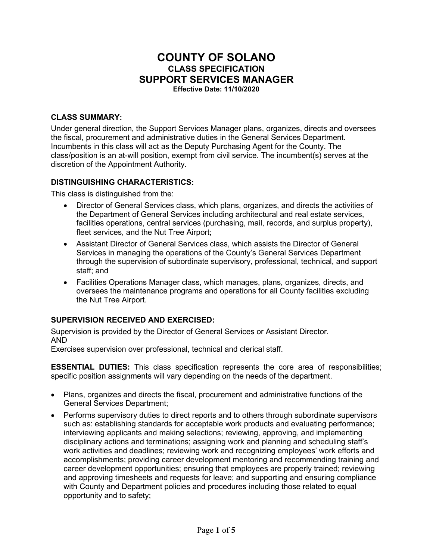# **COUNTY OF SOLANO CLASS SPECIFICATION SUPPORT SERVICES MANAGER Effective Date: 11/10/2020**

### **CLASS SUMMARY:**

Under general direction, the Support Services Manager plans, organizes, directs and oversees the fiscal, procurement and administrative duties in the General Services Department. Incumbents in this class will act as the Deputy Purchasing Agent for the County. The class/position is an at-will position, exempt from civil service. The incumbent(s) serves at the discretion of the Appointment Authority.

#### **DISTINGUISHING CHARACTERISTICS:**

This class is distinguished from the:

- Director of General Services class, which plans, organizes, and directs the activities of the Department of General Services including architectural and real estate services, facilities operations, central services (purchasing, mail, records, and surplus property), fleet services, and the Nut Tree Airport:
- Assistant Director of General Services class, which assists the Director of General Services in managing the operations of the County's General Services Department through the supervision of subordinate supervisory, professional, technical, and support staff; and
- Facilities Operations Manager class, which manages, plans, organizes, directs, and oversees the maintenance programs and operations for all County facilities excluding the Nut Tree Airport.

## **SUPERVISION RECEIVED AND EXERCISED:**

Supervision is provided by the Director of General Services or Assistant Director. AND

Exercises supervision over professional, technical and clerical staff.

**ESSENTIAL DUTIES:** This class specification represents the core area of responsibilities; specific position assignments will vary depending on the needs of the department.

- Plans, organizes and directs the fiscal, procurement and administrative functions of the General Services Department;
- Performs supervisory duties to direct reports and to others through subordinate supervisors such as: establishing standards for acceptable work products and evaluating performance; interviewing applicants and making selections; reviewing, approving, and implementing disciplinary actions and terminations; assigning work and planning and scheduling staff's work activities and deadlines; reviewing work and recognizing employees' work efforts and accomplishments; providing career development mentoring and recommending training and career development opportunities; ensuring that employees are properly trained; reviewing and approving timesheets and requests for leave; and supporting and ensuring compliance with County and Department policies and procedures including those related to equal opportunity and to safety;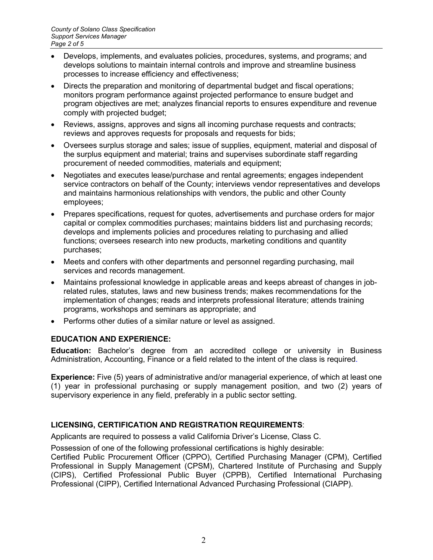- Develops, implements, and evaluates policies, procedures, systems, and programs; and develops solutions to maintain internal controls and improve and streamline business processes to increase efficiency and effectiveness;
- Directs the preparation and monitoring of departmental budget and fiscal operations; monitors program performance against projected performance to ensure budget and program objectives are met; analyzes financial reports to ensures expenditure and revenue comply with projected budget;
- Reviews, assigns, approves and signs all incoming purchase requests and contracts; reviews and approves requests for proposals and requests for bids;
- Oversees surplus storage and sales: issue of supplies, equipment, material and disposal of the surplus equipment and material; trains and supervises subordinate staff regarding procurement of needed commodities, materials and equipment;
- Negotiates and executes lease/purchase and rental agreements; engages independent service contractors on behalf of the County; interviews vendor representatives and develops and maintains harmonious relationships with vendors, the public and other County employees;
- Prepares specifications, request for quotes, advertisements and purchase orders for major capital or complex commodities purchases; maintains bidders list and purchasing records; develops and implements policies and procedures relating to purchasing and allied functions; oversees research into new products, marketing conditions and quantity purchases;
- Meets and confers with other departments and personnel regarding purchasing, mail services and records management.
- Maintains professional knowledge in applicable areas and keeps abreast of changes in jobrelated rules, statutes, laws and new business trends; makes recommendations for the implementation of changes; reads and interprets professional literature; attends training programs, workshops and seminars as appropriate; and
- Performs other duties of a similar nature or level as assigned.

## **EDUCATION AND EXPERIENCE:**

**Education:** Bachelor's degree from an accredited college or university in Business Administration, Accounting, Finance or a field related to the intent of the class is required.

**Experience:** Five (5) years of administrative and/or managerial experience, of which at least one (1) year in professional purchasing or supply management position, and two (2) years of supervisory experience in any field, preferably in a public sector setting.

## **LICENSING, CERTIFICATION AND REGISTRATION REQUIREMENTS**:

Applicants are required to possess a valid California Driver's License, Class C.

Possession of one of the following professional certifications is highly desirable:

Certified Public Procurement Officer (CPPO), Certified Purchasing Manager (CPM), Certified Professional in Supply Management (CPSM), Chartered Institute of Purchasing and Supply (CIPS), Certified Professional Public Buyer (CPPB), Certified International Purchasing Professional (CIPP), Certified International Advanced Purchasing Professional (CIAPP).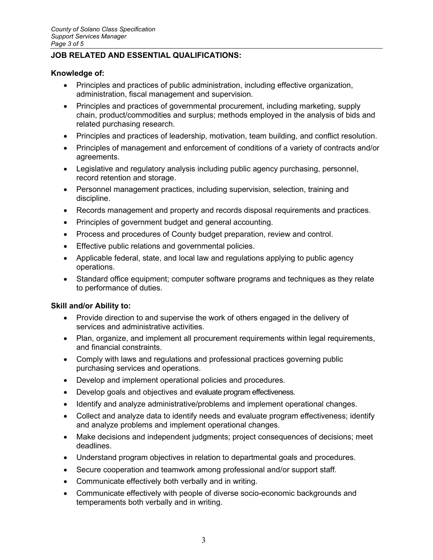## **JOB RELATED AND ESSENTIAL QUALIFICATIONS:**

#### **Knowledge of:**

- Principles and practices of public administration, including effective organization, administration, fiscal management and supervision.
- Principles and practices of governmental procurement, including marketing, supply chain, product/commodities and surplus; methods employed in the analysis of bids and related purchasing research.
- Principles and practices of leadership, motivation, team building, and conflict resolution.
- Principles of management and enforcement of conditions of a variety of contracts and/or agreements.
- Legislative and regulatory analysis including public agency purchasing, personnel, record retention and storage.
- Personnel management practices, including supervision, selection, training and discipline.
- Records management and property and records disposal requirements and practices.
- Principles of government budget and general accounting.
- Process and procedures of County budget preparation, review and control.
- Effective public relations and governmental policies.
- Applicable federal, state, and local law and regulations applying to public agency operations.
- Standard office equipment; computer software programs and techniques as they relate to performance of duties.

#### **Skill and/or Ability to:**

- Provide direction to and supervise the work of others engaged in the delivery of services and administrative activities.
- Plan, organize, and implement all procurement requirements within legal requirements, and financial constraints.
- Comply with laws and regulations and professional practices governing public purchasing services and operations.
- Develop and implement operational policies and procedures.
- Develop goals and objectives and evaluate program effectiveness.
- Identify and analyze administrative/problems and implement operational changes.
- Collect and analyze data to identify needs and evaluate program effectiveness; identify and analyze problems and implement operational changes.
- Make decisions and independent judgments; project consequences of decisions; meet deadlines.
- Understand program objectives in relation to departmental goals and procedures.
- Secure cooperation and teamwork among professional and/or support staff.
- Communicate effectively both verbally and in writing.
- Communicate effectively with people of diverse socio-economic backgrounds and temperaments both verbally and in writing.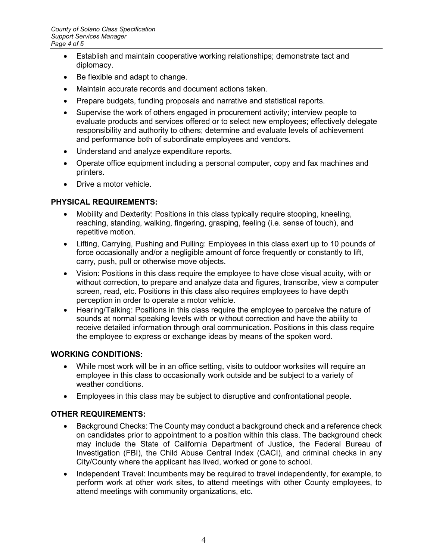- Establish and maintain cooperative working relationships; demonstrate tact and diplomacy.
- Be flexible and adapt to change.
- Maintain accurate records and document actions taken.
- Prepare budgets, funding proposals and narrative and statistical reports.
- Supervise the work of others engaged in procurement activity; interview people to evaluate products and services offered or to select new employees; effectively delegate responsibility and authority to others; determine and evaluate levels of achievement and performance both of subordinate employees and vendors.
- Understand and analyze expenditure reports.
- Operate office equipment including a personal computer, copy and fax machines and printers.
- Drive a motor vehicle.

## **PHYSICAL REQUIREMENTS:**

- Mobility and Dexterity: Positions in this class typically require stooping, kneeling, reaching, standing, walking, fingering, grasping, feeling (i.e. sense of touch), and repetitive motion.
- Lifting, Carrying, Pushing and Pulling: Employees in this class exert up to 10 pounds of force occasionally and/or a negligible amount of force frequently or constantly to lift, carry, push, pull or otherwise move objects.
- Vision: Positions in this class require the employee to have close visual acuity, with or without correction, to prepare and analyze data and figures, transcribe, view a computer screen, read, etc. Positions in this class also requires employees to have depth perception in order to operate a motor vehicle.
- Hearing/Talking: Positions in this class require the employee to perceive the nature of sounds at normal speaking levels with or without correction and have the ability to receive detailed information through oral communication. Positions in this class require the employee to express or exchange ideas by means of the spoken word.

## **WORKING CONDITIONS:**

- While most work will be in an office setting, visits to outdoor worksites will require an employee in this class to occasionally work outside and be subject to a variety of weather conditions.
- Employees in this class may be subject to disruptive and confrontational people.

## **OTHER REQUIREMENTS:**

- Background Checks: The County may conduct a background check and a reference check on candidates prior to appointment to a position within this class. The background check may include the State of California Department of Justice, the Federal Bureau of Investigation (FBI), the Child Abuse Central Index (CACI), and criminal checks in any City/County where the applicant has lived, worked or gone to school.
- Independent Travel: Incumbents may be required to travel independently, for example, to perform work at other work sites, to attend meetings with other County employees, to attend meetings with community organizations, etc.